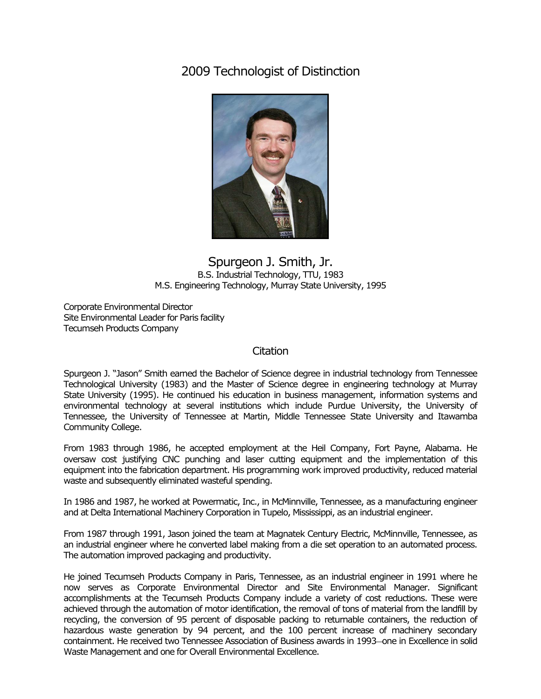## 2009 Technologist of Distinction



## Spurgeon J. Smith, Jr. B.S. Industrial Technology, TTU, 1983 M.S. Engineering Technology, Murray State University, 1995

Corporate Environmental Director Site Environmental Leader for Paris facility Tecumseh Products Company

## **Citation**

Spurgeon J. "Jason" Smith earned the Bachelor of Science degree in industrial technology from Tennessee Technological University (1983) and the Master of Science degree in engineering technology at Murray State University (1995). He continued his education in business management, information systems and environmental technology at several institutions which include Purdue University, the University of Tennessee, the University of Tennessee at Martin, Middle Tennessee State University and Itawamba Community College.

From 1983 through 1986, he accepted employment at the Heil Company, Fort Payne, Alabama. He oversaw cost justifying CNC punching and laser cutting equipment and the implementation of this equipment into the fabrication department. His programming work improved productivity, reduced material waste and subsequently eliminated wasteful spending.

In 1986 and 1987, he worked at Powermatic, Inc., in McMinnville, Tennessee, as a manufacturing engineer and at Delta International Machinery Corporation in Tupelo, Mississippi, as an industrial engineer.

From 1987 through 1991, Jason joined the team at Magnatek Century Electric, McMinnville, Tennessee, as an industrial engineer where he converted label making from a die set operation to an automated process. The automation improved packaging and productivity.

He joined Tecumseh Products Company in Paris, Tennessee, as an industrial engineer in 1991 where he now serves as Corporate Environmental Director and Site Environmental Manager. Significant accomplishments at the Tecumseh Products Company include a variety of cost reductions. These were achieved through the automation of motor identification, the removal of tons of material from the landfill by recycling, the conversion of 95 percent of disposable packing to returnable containers, the reduction of hazardous waste generation by 94 percent, and the 100 percent increase of machinery secondary containment. He received two Tennessee Association of Business awards in 1993―one in Excellence in solid Waste Management and one for Overall Environmental Excellence.